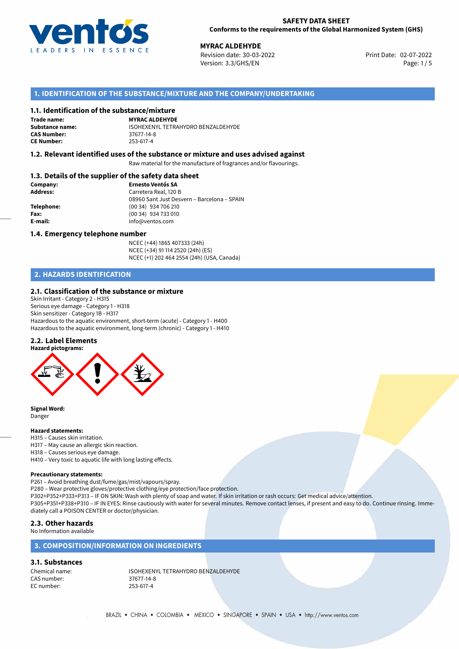

## **SAFETY DATA SHEET Conforms to the requirements of the Global Harmonized System (GHS)**

02-07-2022 **MYRAC ALDEHYDE** Revision date: 30-03-2022 Print Date: Version: 3.3/GHS/EN Page: 1/5

# **1. IDENTIFICATION OF THE SUBSTANCE/MIXTURE AND THE COMPANY/UNDERTAKING**

## **1.1. Identification of the substance/mixture**

**Trade name: CAS Number: CE Number:** 253-617-4

**MYRAC ALDEHYDE Substance name:** ISOHEXENYL TETRAHYDRO BENZALDEHYDE<br> **CAS Number:** 37677-14-8

## **1.2. Relevant identified uses of the substance or mixture and uses advised against**

Raw material for the manufacture of fragrances and/or flavourings.

## **1.3. Details of the supplier of the safety data sheet**

| Company:   | <b>Ernesto Ventós SA</b>                    |
|------------|---------------------------------------------|
| Address:   | Carretera Real, 120 B                       |
|            | 08960 Sant Just Desvern - Barcelona - SPAIN |
| Telephone: | (00 34) 934 706 210                         |
| Fax:       | (00 34) 934 733 010                         |
| E-mail:    | info@ventos.com                             |
|            |                                             |

## **1.4. Emergency telephone number**

NCEC (+44) 1865 407333 (24h) NCEC (+34) 91 114 2520 (24h) (ES) NCEC (+1) 202 464 2554 (24h) (USA, Canada)

# **2. HAZARDS IDENTIFICATION**

## **2.1. Classification of the substance or mixture**

Skin Irritant - Category 2 - H315 Serious eye damage - Category 1 - H318 Skin sensitizer - Category 1B - H317 Hazardous to the aquatic environment, short-term (acute) - Category 1 - H400 Hazardous to the aquatic environment, long-term (chronic) - Category 1 - H410

## **2.2. Label Elements**



**Signal Word:** Danger

## **Hazard statements:**

- H315 Causes skin irritation.
- H317 May cause an allergic skin reaction.
- H318 Causes serious eye damage.
- H410 Very toxic to aquatic life with long lasting effects.

## **Precautionary statements:**

P261 – Avoid breathing dust/fume/gas/mist/vapours/spray.

P280 – Wear protective gloves/protective clothing/eye protection/face protection.

P302+P352+P333+P313 – IF ON SKIN: Wash with plenty of soap and water. If skin irritation or rash occurs: Get medical advice/attention. P305+P351+P338+P310 – IF IN EYES: Rinse cautiously with water for several minutes. Remove contact lenses, if present and easy to do. Continue rinsing. Imme-

diately call a POISON CENTER or doctor/physician.

## **2.3. Other hazards**

No Information available

## **3. COMPOSITION/INFORMATION ON INGREDIENTS**

# **3.1. Substances**

CAS number: 37677-14-8<br>EC number: 253-617-4 EC number:

Chemical name: ISOHEXENYL TETRAHYDRO BENZALDEHYDE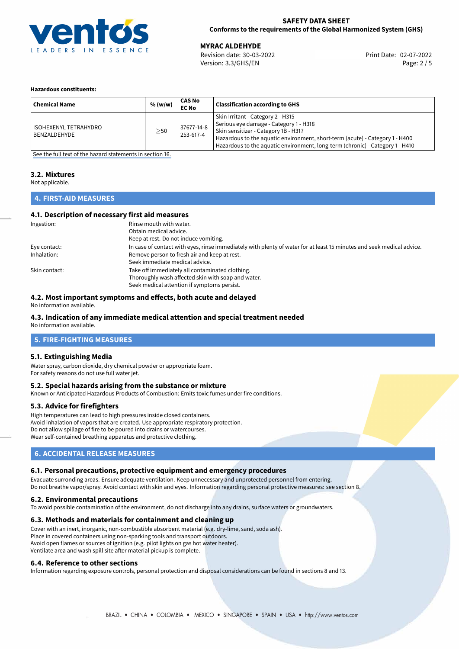

## **SAFETY DATA SHEET Conforms to the requirements of the Global Harmonized System (GHS)**

02-07-2022 **MYRAC ALDEHYDE** Revision date: 30-03-2022 Print Date: Version: 3.3/GHS/EN Page: 2 / 5

## **Hazardous constituents:**

| <b>Chemical Name</b>                  | % (w/w)   | CAS No<br><b>EC No</b>  | <b>Classification according to GHS</b>                                                                                                                                                                                                                                               |
|---------------------------------------|-----------|-------------------------|--------------------------------------------------------------------------------------------------------------------------------------------------------------------------------------------------------------------------------------------------------------------------------------|
| ISOHEXENYL TETRAHYDRO<br>BENZALDEHYDE | $\geq$ 50 | 37677-14-8<br>253-617-4 | Skin Irritant - Category 2 - H315<br>Serious eye damage - Category 1 - H318<br>Skin sensitizer - Category 1B - H317<br>Hazardous to the aquatic environment, short-term (acute) - Category 1 - H400<br>Hazardous to the aquatic environment, long-term (chronic) - Category 1 - H410 |

[See the full text of the hazard statements in section 16.](#page-4-0)

## **3.2. Mixtures**

Not applicable.

# **4. FIRST-AID MEASURES**

## **4.1. Description of necessary first aid measures**

| Ingestion:    | Rinse mouth with water.                                                                                               |
|---------------|-----------------------------------------------------------------------------------------------------------------------|
|               | Obtain medical advice.                                                                                                |
|               | Keep at rest. Do not induce vomiting.                                                                                 |
| Eye contact:  | In case of contact with eyes, rinse immediately with plenty of water for at least 15 minutes and seek medical advice. |
| Inhalation:   | Remove person to fresh air and keep at rest.                                                                          |
|               | Seek immediate medical advice.                                                                                        |
| Skin contact: | Take off immediately all contaminated clothing.                                                                       |
|               | Thoroughly wash affected skin with soap and water.                                                                    |
|               | Seek medical attention if symptoms persist.                                                                           |

## **4.2. Most important symptoms and effects, both acute and delayed**

No information available.

# **4.3. Indication of any immediate medical attention and special treatment needed**

No information available.

# **5. FIRE-FIGHTING MEASURES**

## **5.1. Extinguishing Media**

Water spray, carbon dioxide, dry chemical powder or appropriate foam. For safety reasons do not use full water jet.

## **5.2. Special hazards arising from the substance or mixture**

Known or Anticipated Hazardous Products of Combustion: Emits toxic fumes under fire conditions.

## **5.3. Advice for firefighters**

High temperatures can lead to high pressures inside closed containers. Avoid inhalation of vapors that are created. Use appropriate respiratory protection. Do not allow spillage of fire to be poured into drains or watercourses. Wear self-contained breathing apparatus and protective clothing.

## **6. ACCIDENTAL RELEASE MEASURES**

## **6.1. Personal precautions, protective equipment and emergency procedures**

Evacuate surronding areas. Ensure adequate ventilation. Keep unnecessary and unprotected personnel from entering. Do not breathe vapor/spray. Avoid contact with skin and eyes. Information regarding personal protective measures: see section 8.

## **6.2. Environmental precautions**

To avoid possible contamination of the environment, do not discharge into any drains, surface waters or groundwaters.

## **6.3. Methods and materials for containment and cleaning up**

Cover with an inert, inorganic, non-combustible absorbent material (e.g. dry-lime, sand, soda ash). Place in covered containers using non-sparking tools and transport outdoors. Avoid open flames or sources of ignition (e.g. pilot lights on gas hot water heater). Ventilate area and wash spill site after material pickup is complete.

## **6.4. Reference to other sections**

Information regarding exposure controls, personal protection and disposal considerations can be found in sections 8 and 13.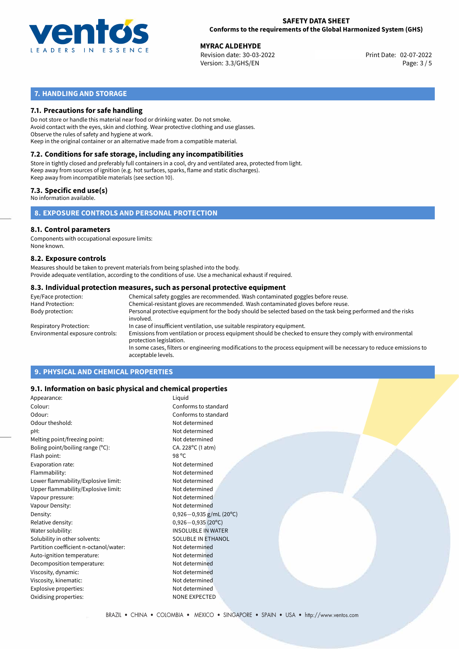

## **SAFETY DATA SHEET Conforms to the requirements of the Global Harmonized System (GHS)**

02-07-2022 **MYRAC ALDEHYDE** Revision date: 30-03-2022 Print Date: Version: 3.3/GHS/EN Page: 3 / 5

# **7. HANDLING AND STORAGE**

## **7.1. Precautions for safe handling**

Do not store or handle this material near food or drinking water. Do not smoke. Avoid contact with the eyes, skin and clothing. Wear protective clothing and use glasses. Observe the rules of safety and hygiene at work. Keep in the original container or an alternative made from a compatible material.

# **7.2. Conditions for safe storage, including any incompatibilities**

Store in tightly closed and preferably full containers in a cool, dry and ventilated area, protected from light. Keep away from sources of ignition (e.g. hot surfaces, sparks, flame and static discharges). Keep away from incompatible materials (see section 10).

## **7.3. Specific end use(s)**

No information available.

**8. EXPOSURE CONTROLS AND PERSONAL PROTECTION**

# **8.1. Control parameters**

Components with occupational exposure limits: None known.

## **8.2. Exposure controls**

Measures should be taken to prevent materials from being splashed into the body. Provide adequate ventilation, according to the conditions of use. Use a mechanical exhaust if required.

## **8.3. Individual protection measures, such as personal protective equipment**

| Eye/Face protection:             | Chemical safety goggles are recommended. Wash contaminated goggles before reuse.                                                            |  |  |  |
|----------------------------------|---------------------------------------------------------------------------------------------------------------------------------------------|--|--|--|
| Hand Protection:                 | Chemical-resistant gloves are recommended. Wash contaminated gloves before reuse.                                                           |  |  |  |
| Body protection:                 | Personal protective equipment for the body should be selected based on the task being performed and the risks<br>involved.                  |  |  |  |
| Respiratory Protection:          | In case of insufficient ventilation, use suitable respiratory equipment.                                                                    |  |  |  |
| Environmental exposure controls: | Emissions from ventilation or process equipment should be checked to ensure they comply with environmental<br>protection legislation.       |  |  |  |
|                                  | In some cases, filters or engineering modifications to the process equipment will be necessary to reduce emissions to<br>acceptable levels. |  |  |  |
|                                  |                                                                                                                                             |  |  |  |

# **9. PHYSICAL AND CHEMICAL PROPERTIES**

## **9.1. Information on basic physical and chemical properties**

| Appearance:                            | Liquid                       |
|----------------------------------------|------------------------------|
| Colour:                                | Conforms to standard         |
| Odour:                                 | Conforms to standard         |
| Odour theshold:                        | Not determined               |
| pH:                                    | Not determined               |
| Melting point/freezing point:          | Not determined               |
| Boling point/boiling range (°C):       | CA. 228°C (1 atm)            |
| Flash point:                           | 98 °C                        |
| Evaporation rate:                      | Not determined               |
| Flammability:                          | Not determined               |
| Lower flammability/Explosive limit:    | Not determined               |
| Upper flammability/Explosive limit:    | Not determined               |
| Vapour pressure:                       | Not determined               |
| Vapour Density:                        | Not determined               |
| Density:                               | $0,926-0,935$ g/mL (20°C)    |
| Relative density:                      | $0,926 - 0,935(20^{\circ}C)$ |
| Water solubility:                      | <b>INSOLUBLE IN WATER</b>    |
| Solubility in other solvents:          | SOLUBLE IN ETHANOL           |
| Partition coefficient n-octanol/water: | Not determined               |
| Auto-ignition temperature:             | Not determined               |
| Decomposition temperature:             | Not determined               |
| Viscosity, dynamic:                    | Not determined               |
| Viscosity, kinematic:                  | Not determined               |
| Explosive properties:                  | Not determined               |
| Oxidising properties:                  | <b>NONE EXPECTED</b>         |
|                                        |                              |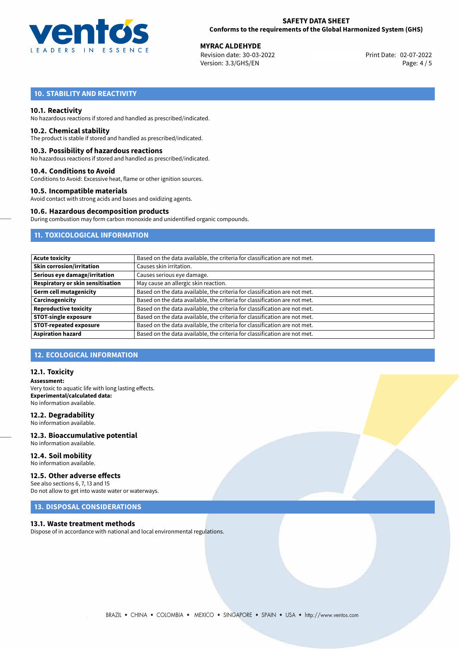

02-07-2022 **MYRAC ALDEHYDE** Revision date: 30-03-2022 Print Date: Version: 3.3/GHS/EN Page: 4 / 5

# **10. STABILITY AND REACTIVITY**

## **10.1. Reactivity**

No hazardous reactions if stored and handled as prescribed/indicated.

## **10.2. Chemical stability**

The product is stable if stored and handled as prescribed/indicated.

## **10.3. Possibility of hazardous reactions**

No hazardous reactions if stored and handled as prescribed/indicated.

## **10.4. Conditions to Avoid**

Conditions to Avoid: Excessive heat, flame or other ignition sources.

## **10.5. Incompatible materials**

Avoid contact with strong acids and bases and oxidizing agents.

## **10.6. Hazardous decomposition products**

During combustion may form carbon monoxide and unidentified organic compounds.

# **11. TOXICOLOGICAL INFORMATION**

| <b>Acute toxicity</b>             | Based on the data available, the criteria for classification are not met. |
|-----------------------------------|---------------------------------------------------------------------------|
| <b>Skin corrosion/irritation</b>  | Causes skin irritation.                                                   |
| Serious eye damage/irritation     | Causes serious eye damage.                                                |
| Respiratory or skin sensitisation | May cause an allergic skin reaction.                                      |
| <b>Germ cell mutagenicity</b>     | Based on the data available, the criteria for classification are not met. |
| Carcinogenicity                   | Based on the data available, the criteria for classification are not met. |
| <b>Reproductive toxicity</b>      | Based on the data available, the criteria for classification are not met. |
| <b>STOT-single exposure</b>       | Based on the data available, the criteria for classification are not met. |
| <b>STOT-repeated exposure</b>     | Based on the data available, the criteria for classification are not met. |
| <b>Aspiration hazard</b>          | Based on the data available, the criteria for classification are not met. |

## **12. ECOLOGICAL INFORMATION**

## **12.1. Toxicity**

**Assessment:** Very toxic to aquatic life with long lasting effects. **Experimental/calculated data:** No information available.

## **12.2. Degradability**

No information available.

## **12.3. Bioaccumulative potential** No information available.

**12.4. Soil mobility** No information available.

# **12.5. Other adverse effects**

See also sections 6, 7, 13 and 15 Do not allow to get into waste water or waterways.

## **13. DISPOSAL CONSIDERATIONS**

## **13.1. Waste treatment methods**

Dispose of in accordance with national and local environmental regulations.